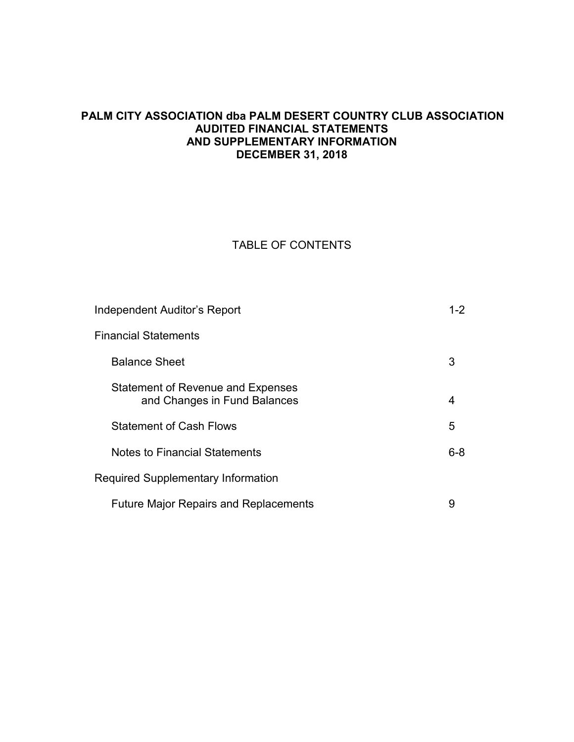## **PALM CITY ASSOCIATION dba PALM DESERT COUNTRY CLUB ASSOCIATION AUDITED FINANCIAL STATEMENTS AND SUPPLEMENTARY INFORMATION DECEMBER 31, 2018**

## TABLE OF CONTENTS

| Independent Auditor's Report                                      | $1 - 2$ |
|-------------------------------------------------------------------|---------|
| <b>Financial Statements</b>                                       |         |
| <b>Balance Sheet</b>                                              | 3       |
| Statement of Revenue and Expenses<br>and Changes in Fund Balances | 4       |
| <b>Statement of Cash Flows</b>                                    | 5       |
| <b>Notes to Financial Statements</b>                              | $6 - 8$ |
| <b>Required Supplementary Information</b>                         |         |
| <b>Future Major Repairs and Replacements</b>                      | 9       |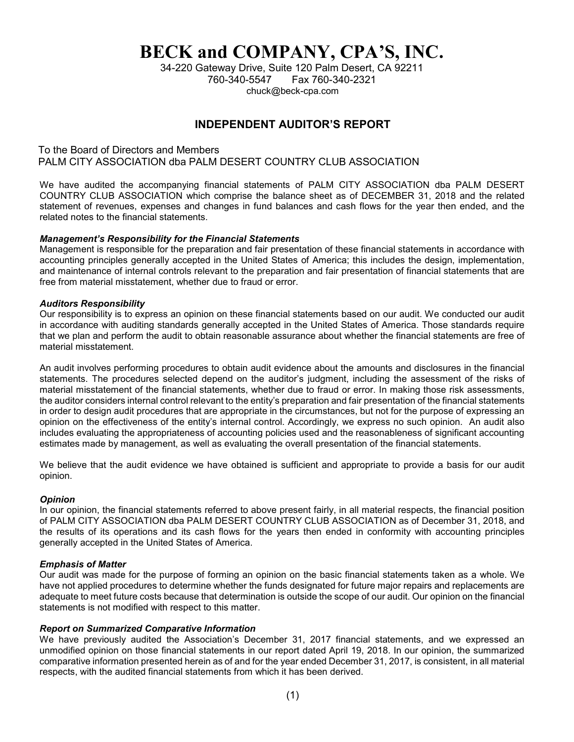# **BECK and COMPANY, CPA'S, INC.**

34-220 Gateway Drive, Suite 120 Palm Desert, CA 92211 760-340-5547 Fax 760-340-2321 chuck@beck-cpa.com

## **INDEPENDENT AUDITOR'S REPORT**

To the Board of Directors and Members PALM CITY ASSOCIATION dba PALM DESERT COUNTRY CLUB ASSOCIATION

We have audited the accompanying financial statements of PALM CITY ASSOCIATION dba PALM DESERT COUNTRY CLUB ASSOCIATION which comprise the balance sheet as of DECEMBER 31, 2018 and the related statement of revenues, expenses and changes in fund balances and cash flows for the year then ended, and the related notes to the financial statements.

#### *Management's Responsibility for the Financial Statements*

Management is responsible for the preparation and fair presentation of these financial statements in accordance with accounting principles generally accepted in the United States of America; this includes the design, implementation, and maintenance of internal controls relevant to the preparation and fair presentation of financial statements that are free from material misstatement, whether due to fraud or error.

#### *Auditors Responsibility*

Our responsibility is to express an opinion on these financial statements based on our audit. We conducted our audit in accordance with auditing standards generally accepted in the United States of America. Those standards require that we plan and perform the audit to obtain reasonable assurance about whether the financial statements are free of material misstatement.

An audit involves performing procedures to obtain audit evidence about the amounts and disclosures in the financial statements. The procedures selected depend on the auditor's judgment, including the assessment of the risks of material misstatement of the financial statements, whether due to fraud or error. In making those risk assessments, the auditor considers internal control relevant to the entity's preparation and fair presentation of the financial statements in order to design audit procedures that are appropriate in the circumstances, but not for the purpose of expressing an opinion on the effectiveness of the entity's internal control. Accordingly, we express no such opinion. An audit also includes evaluating the appropriateness of accounting policies used and the reasonableness of significant accounting estimates made by management, as well as evaluating the overall presentation of the financial statements.

We believe that the audit evidence we have obtained is sufficient and appropriate to provide a basis for our audit opinion.

#### *Opinion*

In our opinion, the financial statements referred to above present fairly, in all material respects, the financial position of PALM CITY ASSOCIATION dba PALM DESERT COUNTRY CLUB ASSOCIATION as of December 31, 2018, and the results of its operations and its cash flows for the years then ended in conformity with accounting principles generally accepted in the United States of America.

#### *Emphasis of Matter*

Our audit was made for the purpose of forming an opinion on the basic financial statements taken as a whole. We have not applied procedures to determine whether the funds designated for future major repairs and replacements are adequate to meet future costs because that determination is outside the scope of our audit. Our opinion on the financial statements is not modified with respect to this matter.

#### *Report on Summarized Comparative Information*

We have previously audited the Association's December 31, 2017 financial statements, and we expressed an unmodified opinion on those financial statements in our report dated April 19, 2018. In our opinion, the summarized comparative information presented herein as of and for the year ended December 31, 2017, is consistent, in all material respects, with the audited financial statements from which it has been derived.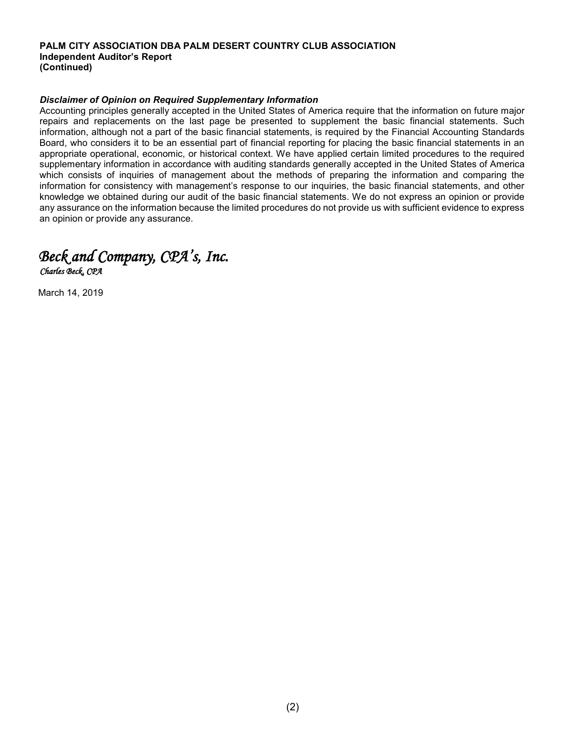#### **PALM CITY ASSOCIATION DBA PALM DESERT COUNTRY CLUB ASSOCIATION Independent Auditor's Report (Continued)**

#### *Disclaimer of Opinion on Required Supplementary Information*

Accounting principles generally accepted in the United States of America require that the information on future major repairs and replacements on the last page be presented to supplement the basic financial statements. Such information, although not a part of the basic financial statements, is required by the Financial Accounting Standards Board, who considers it to be an essential part of financial reporting for placing the basic financial statements in an appropriate operational, economic, or historical context. We have applied certain limited procedures to the required supplementary information in accordance with auditing standards generally accepted in the United States of America which consists of inquiries of management about the methods of preparing the information and comparing the information for consistency with management's response to our inquiries, the basic financial statements, and other knowledge we obtained during our audit of the basic financial statements. We do not express an opinion or provide any assurance on the information because the limited procedures do not provide us with sufficient evidence to express an opinion or provide any assurance.



March 14, 2019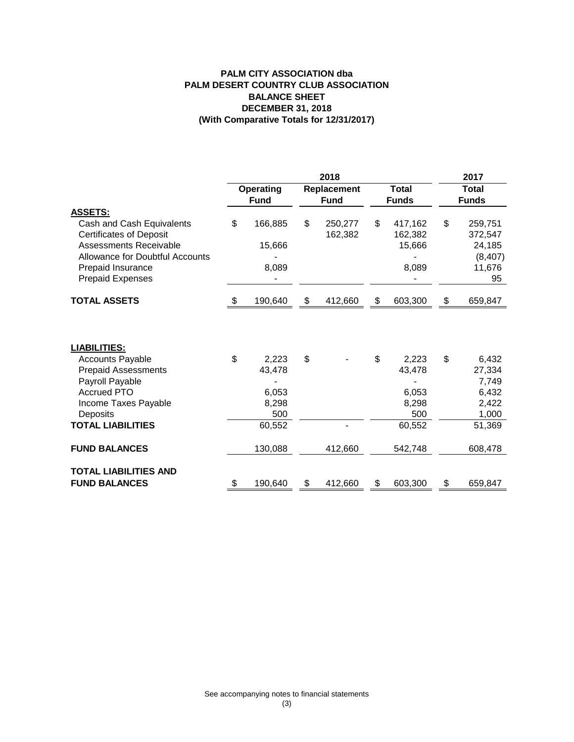#### **PALM CITY ASSOCIATION dba BALANCE SHEET DECEMBER 31, 2018 (With Comparative Totals for 12/31/2017) PALM DESERT COUNTRY CLUB ASSOCIATION**

|                                                                                                                                                                                 | 2018                     |                            |                            |                              |    |                                       |    | 2017                                                     |  |  |
|---------------------------------------------------------------------------------------------------------------------------------------------------------------------------------|--------------------------|----------------------------|----------------------------|------------------------------|----|---------------------------------------|----|----------------------------------------------------------|--|--|
|                                                                                                                                                                                 | Operating<br><b>Fund</b> |                            | Replacement<br><b>Fund</b> | <b>Total</b><br><b>Funds</b> |    | <b>Total</b><br><b>Funds</b>          |    |                                                          |  |  |
| <b>ASSETS:</b>                                                                                                                                                                  |                          |                            |                            |                              |    |                                       |    |                                                          |  |  |
| Cash and Cash Equivalents<br><b>Certificates of Deposit</b><br>Assessments Receivable<br><b>Allowance for Doubtful Accounts</b><br>Prepaid Insurance<br><b>Prepaid Expenses</b> | \$                       | 166,885<br>15,666<br>8,089 | \$                         | 250,277<br>162,382           | \$ | 417,162<br>162,382<br>15,666<br>8,089 | \$ | 259,751<br>372,547<br>24,185<br>(8, 407)<br>11,676<br>95 |  |  |
| <b>TOTAL ASSETS</b>                                                                                                                                                             | - \$                     | 190,640                    | \$                         | 412,660                      | \$ | 603,300                               | \$ | 659,847                                                  |  |  |
| <b>LIABILITIES:</b>                                                                                                                                                             |                          |                            |                            |                              |    |                                       |    |                                                          |  |  |
| <b>Accounts Payable</b><br><b>Prepaid Assessments</b><br>Payroll Payable                                                                                                        | \$                       | 2,223<br>43,478            | \$                         |                              | \$ | 2,223<br>43,478                       | \$ | 6,432<br>27,334<br>7,749                                 |  |  |
| <b>Accrued PTO</b><br>Income Taxes Payable<br>Deposits                                                                                                                          |                          | 6,053<br>8,298<br>500      |                            |                              |    | 6,053<br>8,298<br>500                 |    | 6,432<br>2,422<br>1,000                                  |  |  |
| <b>TOTAL LIABILITIES</b>                                                                                                                                                        |                          | 60,552                     |                            |                              |    | 60,552                                |    | 51,369                                                   |  |  |
| <b>FUND BALANCES</b>                                                                                                                                                            |                          | 130,088                    |                            | 412,660                      |    | 542,748                               |    | 608,478                                                  |  |  |
| <b>TOTAL LIABILITIES AND</b><br><b>FUND BALANCES</b>                                                                                                                            |                          | 190,640                    | \$                         | 412,660                      | \$ | 603,300                               | \$ | 659,847                                                  |  |  |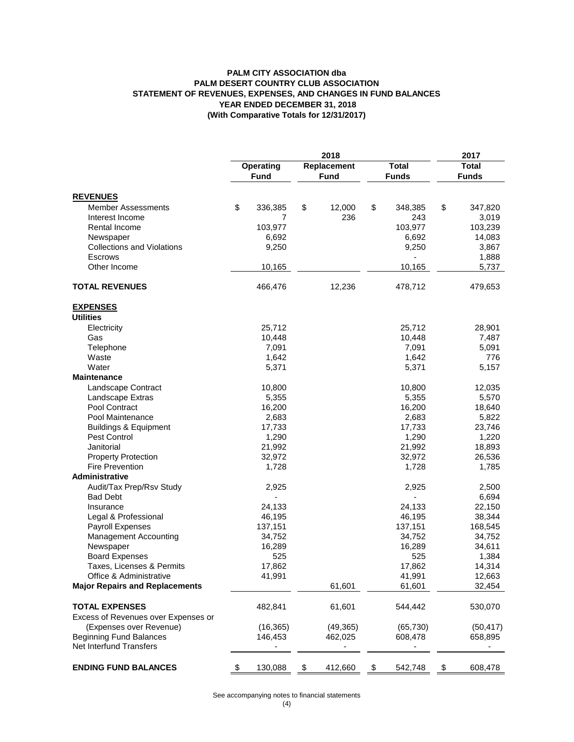#### **PALM CITY ASSOCIATION dba STATEMENT OF REVENUES, EXPENSES, AND CHANGES IN FUND BALANCES YEAR ENDED DECEMBER 31, 2018 (With Comparative Totals for 12/31/2017) PALM DESERT COUNTRY CLUB ASSOCIATION**

|                                       | 2018 |                 |             |             |              | 2017             |              |                 |
|---------------------------------------|------|-----------------|-------------|-------------|--------------|------------------|--------------|-----------------|
|                                       |      | Operating       | Replacement |             | <b>Total</b> |                  | <b>Total</b> |                 |
|                                       |      | <b>Fund</b>     |             | <b>Fund</b> |              | <b>Funds</b>     |              | <b>Funds</b>    |
| <b>REVENUES</b>                       |      |                 |             |             |              |                  |              |                 |
| Member Assessments                    | \$   | 336,385         | \$          | 12,000      | \$           | 348,385          | \$           | 347,820         |
| Interest Income                       |      | 7               |             | 236         |              | 243              |              | 3,019           |
| Rental Income                         |      | 103,977         |             |             |              | 103,977          |              | 103,239         |
| Newspaper                             |      | 6,692           |             |             |              | 6,692            |              | 14,083          |
| <b>Collections and Violations</b>     |      | 9,250           |             |             |              | 9,250            |              | 3,867           |
| Escrows                               |      |                 |             |             |              |                  |              | 1,888           |
| Other Income                          |      | 10,165          |             |             |              | 10,165           |              | 5,737           |
| <b>TOTAL REVENUES</b>                 |      | 466,476         |             | 12,236      |              | 478,712          |              | 479,653         |
| <b>EXPENSES</b>                       |      |                 |             |             |              |                  |              |                 |
| <b>Utilities</b>                      |      |                 |             |             |              |                  |              |                 |
| Electricity                           |      | 25,712          |             |             |              | 25,712           |              | 28,901          |
| Gas                                   |      | 10,448          |             |             |              | 10,448           |              | 7,487           |
| Telephone                             |      | 7,091           |             |             |              | 7,091            |              | 5,091           |
| Waste                                 |      | 1,642           |             |             |              | 1,642            |              | 776             |
| Water                                 |      | 5,371           |             |             |              | 5,371            |              | 5,157           |
| <b>Maintenance</b>                    |      |                 |             |             |              |                  |              |                 |
| Landscape Contract                    |      | 10,800          |             |             |              | 10,800           |              | 12,035          |
| Landscape Extras                      |      | 5,355           |             |             |              | 5,355            |              | 5,570           |
| Pool Contract                         |      | 16,200          |             |             |              | 16,200           |              | 18,640          |
| Pool Maintenance                      |      | 2,683           |             |             |              | 2,683            |              | 5,822           |
| <b>Buildings &amp; Equipment</b>      |      | 17,733          |             |             |              | 17,733           |              | 23,746          |
| Pest Control<br>Janitorial            |      | 1,290<br>21,992 |             |             |              | 1,290            |              | 1,220<br>18,893 |
| <b>Property Protection</b>            |      | 32,972          |             |             |              | 21,992<br>32,972 |              | 26,536          |
| <b>Fire Prevention</b>                |      | 1,728           |             |             |              | 1,728            |              | 1,785           |
| Administrative                        |      |                 |             |             |              |                  |              |                 |
| Audit/Tax Prep/Rsv Study              |      | 2,925           |             |             |              | 2,925            |              | 2,500           |
| <b>Bad Debt</b>                       |      |                 |             |             |              |                  |              | 6,694           |
| Insurance                             |      | 24,133          |             |             |              | 24,133           |              | 22,150          |
| Legal & Professional                  |      | 46,195          |             |             |              | 46,195           |              | 38,344          |
| Payroll Expenses                      |      | 137,151         |             |             |              | 137,151          |              | 168,545         |
| <b>Management Accounting</b>          |      | 34,752          |             |             |              | 34,752           |              | 34,752          |
| Newspaper                             |      | 16,289          |             |             |              | 16,289           |              | 34,611          |
| <b>Board Expenses</b>                 |      | 525             |             |             |              | 525              |              | 1,384           |
| Taxes, Licenses & Permits             |      | 17,862          |             |             |              | 17,862           |              | 14,314          |
| Office & Administrative               |      | 41,991          |             |             |              | 41,991           |              | 12,663          |
| <b>Major Repairs and Replacements</b> |      |                 |             | 61,601      |              | 61,601           |              | 32,454          |
| <b>TOTAL EXPENSES</b>                 |      | 482,841         |             | 61,601      |              | 544,442          |              | 530,070         |
| Excess of Revenues over Expenses or   |      |                 |             |             |              |                  |              |                 |
| (Expenses over Revenue)               |      | (16, 365)       |             | (49, 365)   |              | (65, 730)        |              | (50, 417)       |
| <b>Beginning Fund Balances</b>        |      | 146,453         |             | 462,025     |              | 608,478          |              | 658,895         |
| Net Interfund Transfers               |      |                 |             |             |              |                  |              |                 |
| <b>ENDING FUND BALANCES</b>           | \$   | 130,088         | \$          | 412,660     | \$           | 542,748          | \$           | 608,478         |

See accompanying notes to financial statements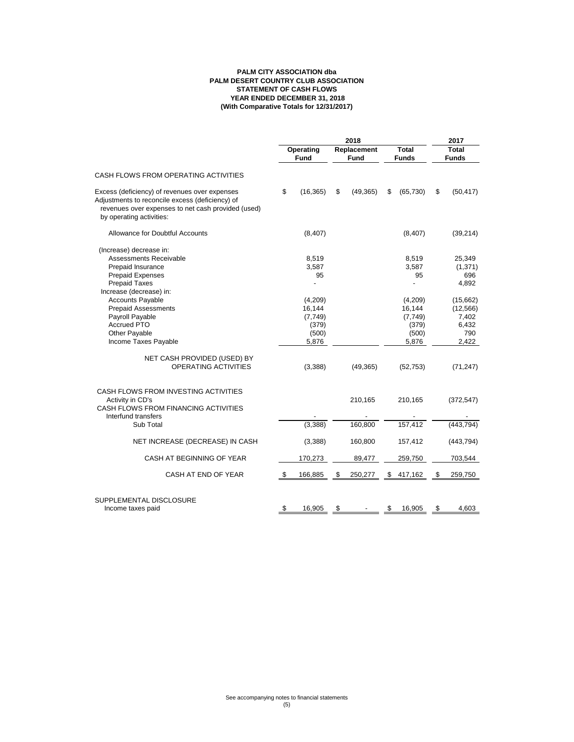#### **PALM CITY ASSOCIATION dba STATEMENT OF CASH FLOWS YEAR ENDED DECEMBER 31, 2018 (With Comparative Totals for 12/31/2017) PALM DESERT COUNTRY CLUB ASSOCIATION**

|                                                                                                                                                                                    | 2018      |                                                          |    |                    | 2017         |                                                          |       |                                                         |
|------------------------------------------------------------------------------------------------------------------------------------------------------------------------------------|-----------|----------------------------------------------------------|----|--------------------|--------------|----------------------------------------------------------|-------|---------------------------------------------------------|
|                                                                                                                                                                                    | Operating |                                                          |    | Replacement        | <b>Total</b> |                                                          | Total |                                                         |
|                                                                                                                                                                                    |           | Fund                                                     |    | Fund               |              | <b>Funds</b>                                             |       | <b>Funds</b>                                            |
| CASH FLOWS FROM OPERATING ACTIVITIES                                                                                                                                               |           |                                                          |    |                    |              |                                                          |       |                                                         |
| Excess (deficiency) of revenues over expenses<br>Adjustments to reconcile excess (deficiency) of<br>revenues over expenses to net cash provided (used)<br>by operating activities: | \$        | (16, 365)                                                | \$ | (49, 365)          | \$           | (65, 730)                                                | \$    | (50, 417)                                               |
| Allowance for Doubtful Accounts                                                                                                                                                    |           | (8,407)                                                  |    |                    |              | (8,407)                                                  |       | (39, 214)                                               |
| (Increase) decrease in:<br>Assessments Receivable<br>Prepaid Insurance<br><b>Prepaid Expenses</b><br><b>Prepaid Taxes</b><br>Increase (decrease) in:                               |           | 8,519<br>3,587<br>95                                     |    |                    |              | 8,519<br>3,587<br>95                                     |       | 25,349<br>(1, 371)<br>696<br>4,892                      |
| <b>Accounts Payable</b><br><b>Prepaid Assessments</b><br>Payroll Payable<br><b>Accrued PTO</b><br>Other Payable<br>Income Taxes Payable                                            |           | (4,209)<br>16,144<br>(7, 749)<br>(379)<br>(500)<br>5,876 |    |                    |              | (4,209)<br>16,144<br>(7, 749)<br>(379)<br>(500)<br>5,876 |       | (15,662)<br>(12, 566)<br>7,402<br>6,432<br>790<br>2,422 |
| NET CASH PROVIDED (USED) BY<br>OPERATING ACTIVITIES                                                                                                                                |           | (3,388)                                                  |    | (49, 365)          |              | (52, 753)                                                |       | (71, 247)                                               |
| CASH FLOWS FROM INVESTING ACTIVITIES<br>Activity in CD's<br>CASH FLOWS FROM FINANCING ACTIVITIES<br>Interfund transfers<br>Sub Total                                               |           | (3,388)                                                  |    | 210,165<br>160,800 |              | 210,165<br>157,412                                       |       | (372, 547)<br>(443, 794)                                |
| NET INCREASE (DECREASE) IN CASH                                                                                                                                                    |           | (3,388)                                                  |    | 160,800            |              | 157,412                                                  |       | (443, 794)                                              |
| CASH AT BEGINNING OF YEAR                                                                                                                                                          |           | 170,273                                                  |    | 89,477             |              | 259,750                                                  |       | 703,544                                                 |
| CASH AT END OF YEAR                                                                                                                                                                | \$        | 166,885                                                  | \$ | 250,277            | \$           | 417,162                                                  | \$    | 259,750                                                 |
| SUPPLEMENTAL DISCLOSURE<br>Income taxes paid                                                                                                                                       | \$        | 16,905                                                   | \$ |                    | \$           | 16,905                                                   | \$    | 4.603                                                   |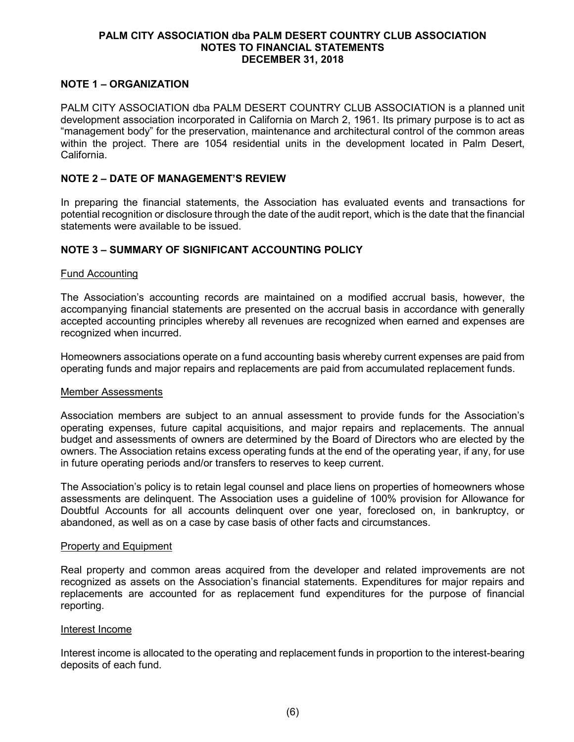#### **PALM CITY ASSOCIATION dba PALM DESERT COUNTRY CLUB ASSOCIATION NOTES TO FINANCIAL STATEMENTS DECEMBER 31, 2018**

### **NOTE 1 – ORGANIZATION**

PALM CITY ASSOCIATION dba PALM DESERT COUNTRY CLUB ASSOCIATION is a planned unit development association incorporated in California on March 2, 1961. Its primary purpose is to act as "management body" for the preservation, maintenance and architectural control of the common areas within the project. There are 1054 residential units in the development located in Palm Desert, California.

#### **NOTE 2 – DATE OF MANAGEMENT'S REVIEW**

In preparing the financial statements, the Association has evaluated events and transactions for potential recognition or disclosure through the date of the audit report, which is the date that the financial statements were available to be issued.

#### **NOTE 3 – SUMMARY OF SIGNIFICANT ACCOUNTING POLICY**

#### Fund Accounting

The Association's accounting records are maintained on a modified accrual basis, however, the accompanying financial statements are presented on the accrual basis in accordance with generally accepted accounting principles whereby all revenues are recognized when earned and expenses are recognized when incurred.

Homeowners associations operate on a fund accounting basis whereby current expenses are paid from operating funds and major repairs and replacements are paid from accumulated replacement funds.

#### Member Assessments

Association members are subject to an annual assessment to provide funds for the Association's operating expenses, future capital acquisitions, and major repairs and replacements. The annual budget and assessments of owners are determined by the Board of Directors who are elected by the owners. The Association retains excess operating funds at the end of the operating year, if any, for use in future operating periods and/or transfers to reserves to keep current.

The Association's policy is to retain legal counsel and place liens on properties of homeowners whose assessments are delinquent. The Association uses a guideline of 100% provision for Allowance for Doubtful Accounts for all accounts delinquent over one year, foreclosed on, in bankruptcy, or abandoned, as well as on a case by case basis of other facts and circumstances.

#### Property and Equipment

Real property and common areas acquired from the developer and related improvements are not recognized as assets on the Association's financial statements. Expenditures for major repairs and replacements are accounted for as replacement fund expenditures for the purpose of financial reporting.

#### Interest Income

Interest income is allocated to the operating and replacement funds in proportion to the interest-bearing deposits of each fund.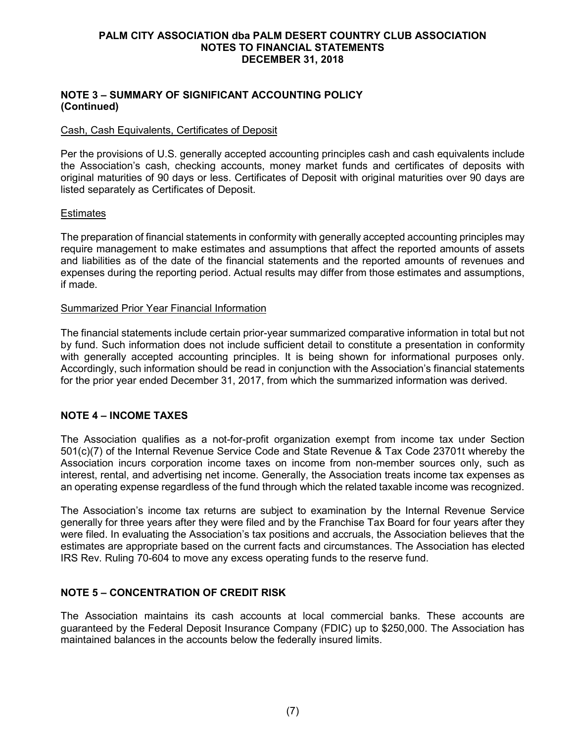#### **PALM CITY ASSOCIATION dba PALM DESERT COUNTRY CLUB ASSOCIATION NOTES TO FINANCIAL STATEMENTS DECEMBER 31, 2018**

#### **NOTE 3 – SUMMARY OF SIGNIFICANT ACCOUNTING POLICY (Continued)**

#### Cash, Cash Equivalents, Certificates of Deposit

Per the provisions of U.S. generally accepted accounting principles cash and cash equivalents include the Association's cash, checking accounts, money market funds and certificates of deposits with original maturities of 90 days or less. Certificates of Deposit with original maturities over 90 days are listed separately as Certificates of Deposit.

#### **Estimates**

The preparation of financial statements in conformity with generally accepted accounting principles may require management to make estimates and assumptions that affect the reported amounts of assets and liabilities as of the date of the financial statements and the reported amounts of revenues and expenses during the reporting period. Actual results may differ from those estimates and assumptions, if made.

#### Summarized Prior Year Financial Information

The financial statements include certain prior-year summarized comparative information in total but not by fund. Such information does not include sufficient detail to constitute a presentation in conformity with generally accepted accounting principles. It is being shown for informational purposes only. Accordingly, such information should be read in conjunction with the Association's financial statements for the prior year ended December 31, 2017, from which the summarized information was derived.

### **NOTE 4 – INCOME TAXES**

The Association qualifies as a not-for-profit organization exempt from income tax under Section 501(c)(7) of the Internal Revenue Service Code and State Revenue & Tax Code 23701t whereby the Association incurs corporation income taxes on income from non-member sources only, such as interest, rental, and advertising net income. Generally, the Association treats income tax expenses as an operating expense regardless of the fund through which the related taxable income was recognized.

The Association's income tax returns are subject to examination by the Internal Revenue Service generally for three years after they were filed and by the Franchise Tax Board for four years after they were filed. In evaluating the Association's tax positions and accruals, the Association believes that the estimates are appropriate based on the current facts and circumstances. The Association has elected IRS Rev. Ruling 70-604 to move any excess operating funds to the reserve fund.

### **NOTE 5 – CONCENTRATION OF CREDIT RISK**

The Association maintains its cash accounts at local commercial banks. These accounts are guaranteed by the Federal Deposit Insurance Company (FDIC) up to \$250,000. The Association has maintained balances in the accounts below the federally insured limits.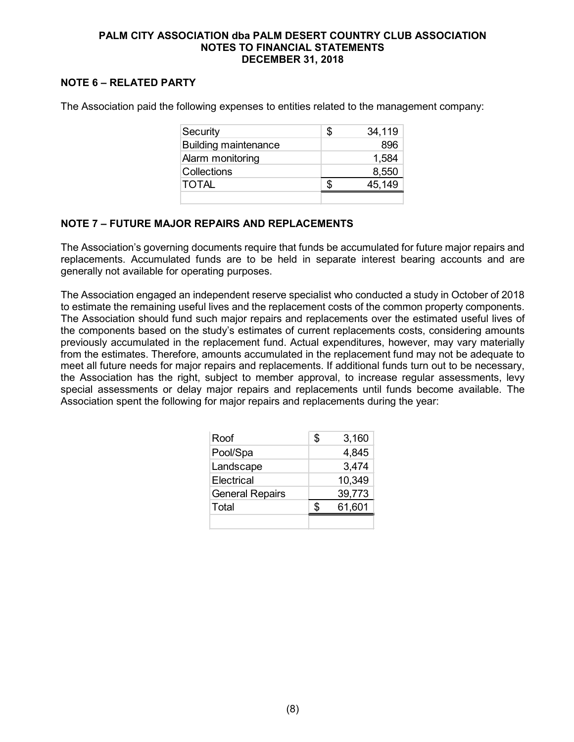#### **PALM CITY ASSOCIATION dba PALM DESERT COUNTRY CLUB ASSOCIATION NOTES TO FINANCIAL STATEMENTS DECEMBER 31, 2018**

## **NOTE 6 – RELATED PARTY**

The Association paid the following expenses to entities related to the management company:

| Security                    | \$<br>34,119 |
|-----------------------------|--------------|
| <b>Building maintenance</b> | 896          |
| Alarm monitoring            | 1,584        |
| Collections                 | 8,550        |
| <b>TOTAL</b>                | 45,149       |
|                             |              |

#### **NOTE 7 – FUTURE MAJOR REPAIRS AND REPLACEMENTS**

The Association's governing documents require that funds be accumulated for future major repairs and replacements. Accumulated funds are to be held in separate interest bearing accounts and are generally not available for operating purposes.

The Association engaged an independent reserve specialist who conducted a study in October of 2018 to estimate the remaining useful lives and the replacement costs of the common property components. The Association should fund such major repairs and replacements over the estimated useful lives of the components based on the study's estimates of current replacements costs, considering amounts previously accumulated in the replacement fund. Actual expenditures, however, may vary materially from the estimates. Therefore, amounts accumulated in the replacement fund may not be adequate to meet all future needs for major repairs and replacements. If additional funds turn out to be necessary, the Association has the right, subject to member approval, to increase regular assessments, levy special assessments or delay major repairs and replacements until funds become available. The Association spent the following for major repairs and replacements during the year:

| Roof                   | \$<br>3,160 |
|------------------------|-------------|
| Pool/Spa               | 4,845       |
| Landscape              | 3,474       |
| Electrical             | 10,349      |
| <b>General Repairs</b> | 39,773      |
| Total                  | 61,601      |
|                        |             |